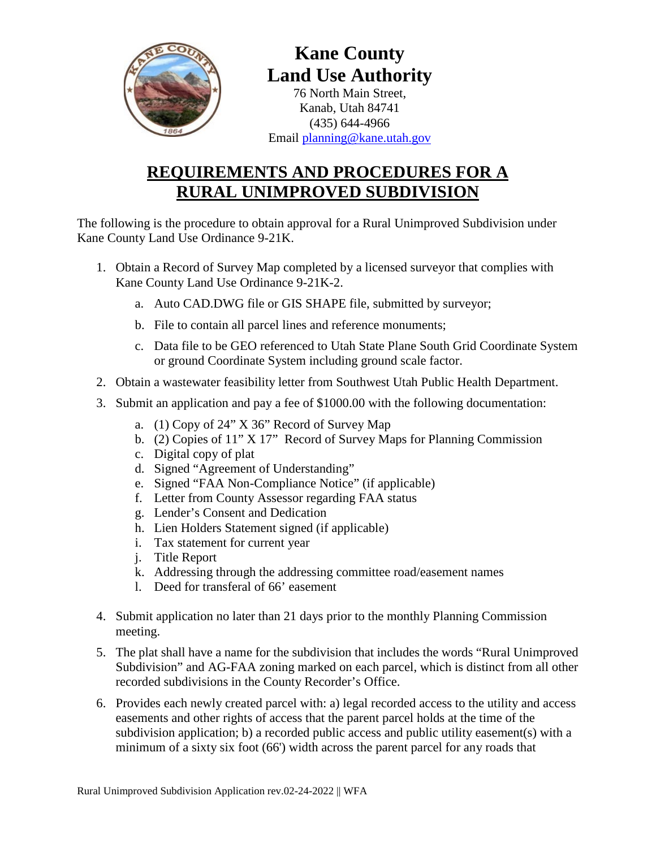

## **Kane County Land Use Authority**

76 North Main Street, Kanab, Utah 84741 (435) 644-4966 Email [planning@kane.utah.gov](mailto:planning@kane.utah.gov)

## **REQUIREMENTS AND PROCEDURES FOR A RURAL UNIMPROVED SUBDIVISION**

The following is the procedure to obtain approval for a Rural Unimproved Subdivision under Kane County Land Use Ordinance 9-21K.

- 1. Obtain a Record of Survey Map completed by a licensed surveyor that complies with Kane County Land Use Ordinance 9-21K-2.
	- a. Auto CAD.DWG file or GIS SHAPE file, submitted by surveyor;
	- b. File to contain all parcel lines and reference monuments;
	- c. Data file to be GEO referenced to Utah State Plane South Grid Coordinate System or ground Coordinate System including ground scale factor.
- 2. Obtain a wastewater feasibility letter from Southwest Utah Public Health Department.
- 3. Submit an application and pay a fee of \$1000.00 with the following documentation:
	- a. (1) Copy of 24" X 36" Record of Survey Map
	- b. (2) Copies of 11" X 17" Record of Survey Maps for Planning Commission
	- c. Digital copy of plat
	- d. Signed "Agreement of Understanding"
	- e. Signed "FAA Non-Compliance Notice" (if applicable)
	- f. Letter from County Assessor regarding FAA status
	- g. Lender's Consent and Dedication
	- h. Lien Holders Statement signed (if applicable)
	- i. Tax statement for current year
	- j. Title Report
	- k. Addressing through the addressing committee road/easement names
	- l. Deed for transferal of 66' easement
- 4. Submit application no later than 21 days prior to the monthly Planning Commission meeting.
- 5. The plat shall have a name for the subdivision that includes the words "Rural Unimproved Subdivision" and AG-FAA zoning marked on each parcel, which is distinct from all other recorded subdivisions in the County Recorder's Office.
- 6. Provides each newly created parcel with: a) legal recorded access to the utility and access easements and other rights of access that the parent parcel holds at the time of the subdivision application; b) a recorded public access and public utility easement(s) with a minimum of a sixty six foot (66') width across the parent parcel for any roads that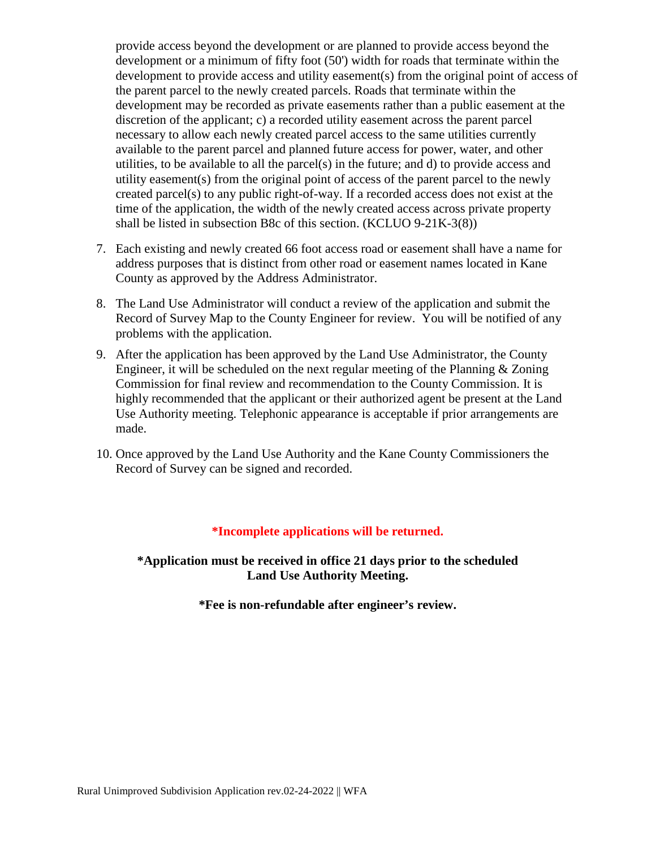provide access beyond the development or are planned to provide access beyond the development or a minimum of fifty foot (50') width for roads that terminate within the development to provide access and utility easement(s) from the original point of access of the parent parcel to the newly created parcels. Roads that terminate within the development may be recorded as private easements rather than a public easement at the discretion of the applicant; c) a recorded utility easement across the parent parcel necessary to allow each newly created parcel access to the same utilities currently available to the parent parcel and planned future access for power, water, and other utilities, to be available to all the parcel(s) in the future; and d) to provide access and utility easement(s) from the original point of access of the parent parcel to the newly created parcel(s) to any public right-of-way. If a recorded access does not exist at the time of the application, the width of the newly created access across private property shall be listed in subsection B8c of this section. (KCLUO 9-21K-3(8))

- 7. Each existing and newly created 66 foot access road or easement shall have a name for address purposes that is distinct from other road or easement names located in Kane County as approved by the Address Administrator.
- 8. The Land Use Administrator will conduct a review of the application and submit the Record of Survey Map to the County Engineer for review. You will be notified of any problems with the application.
- 9. After the application has been approved by the Land Use Administrator, the County Engineer, it will be scheduled on the next regular meeting of the Planning  $\&$  Zoning Commission for final review and recommendation to the County Commission. It is highly recommended that the applicant or their authorized agent be present at the Land Use Authority meeting. Telephonic appearance is acceptable if prior arrangements are made.
- 10. Once approved by the Land Use Authority and the Kane County Commissioners the Record of Survey can be signed and recorded.

#### **\*Incomplete applications will be returned.**

**\*Application must be received in office 21 days prior to the scheduled Land Use Authority Meeting.** 

**\*Fee is non-refundable after engineer's review.**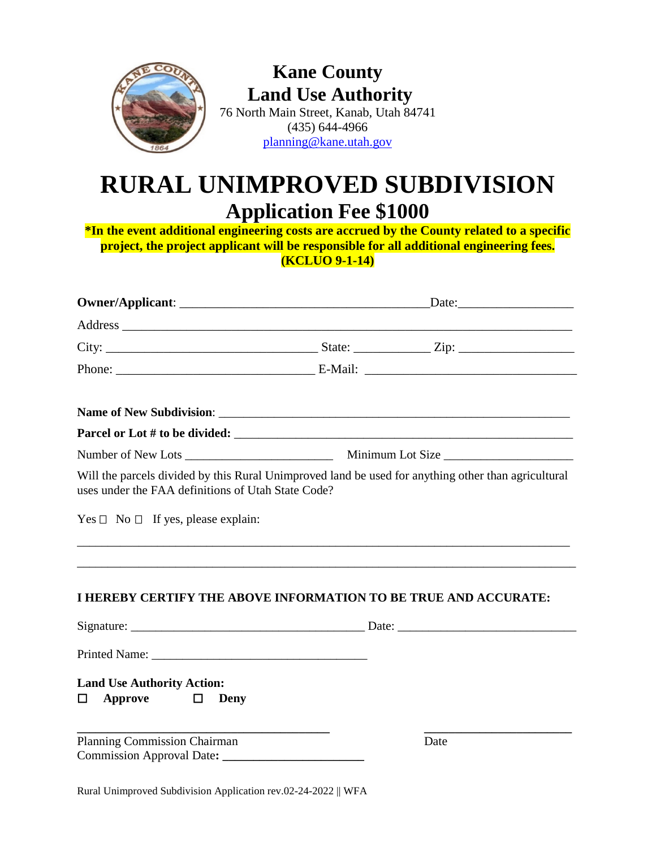

## **Kane County Land Use Authority**

76 North Main Street, Kanab, Utah 84741 (435) 644-4966 [planning@kane.utah.gov](mailto:planning@kane.utah.gov)

# **RURAL UNIMPROVED SUBDIVISION Application Fee \$1000**

**\*In the event additional engineering costs are accrued by the County related to a specific project, the project applicant will be responsible for all additional engineering fees. (KCLUO 9-1-14)**

| Will the parcels divided by this Rural Unimproved land be used for anything other than agricultural<br>uses under the FAA definitions of Utah State Code?<br>Yes $\Box$ No $\Box$ If yes, please explain: |  |      |  |
|-----------------------------------------------------------------------------------------------------------------------------------------------------------------------------------------------------------|--|------|--|
| <b>I HEREBY CERTIFY THE ABOVE INFORMATION TO BE TRUE AND ACCURATE:</b>                                                                                                                                    |  |      |  |
|                                                                                                                                                                                                           |  |      |  |
|                                                                                                                                                                                                           |  |      |  |
| <b>Land Use Authority Action:</b><br>$\Box$ Approve $\Box$ Deny                                                                                                                                           |  |      |  |
| <b>Planning Commission Chairman</b>                                                                                                                                                                       |  | Date |  |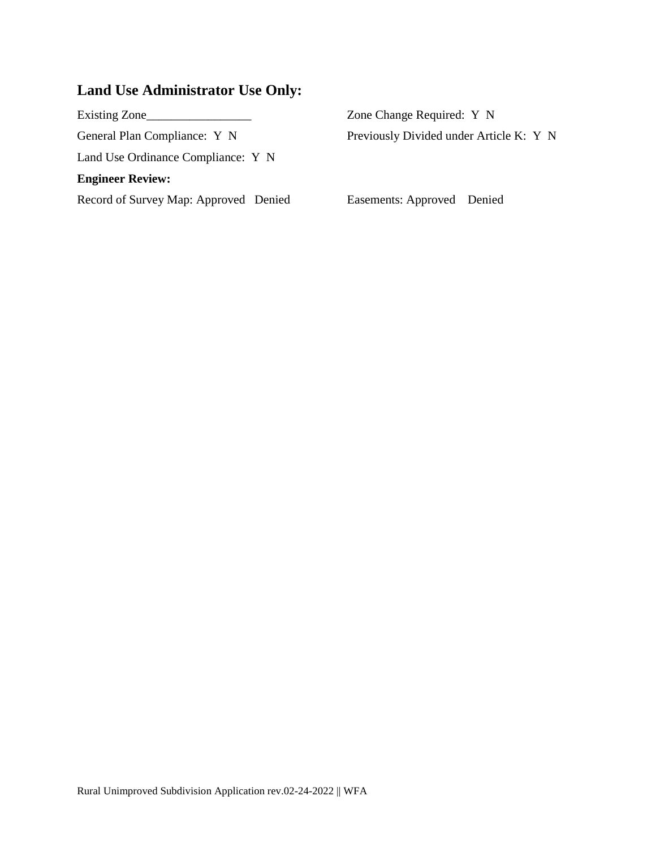## **Land Use Administrator Use Only:**

| Existing Zone                         | Zone Change Required: Y N               |  |
|---------------------------------------|-----------------------------------------|--|
| General Plan Compliance: Y N          | Previously Divided under Article K: Y N |  |
| Land Use Ordinance Compliance: Y N    |                                         |  |
| <b>Engineer Review:</b>               |                                         |  |
| Record of Survey Map: Approved Denied | Easements: Approved Denied              |  |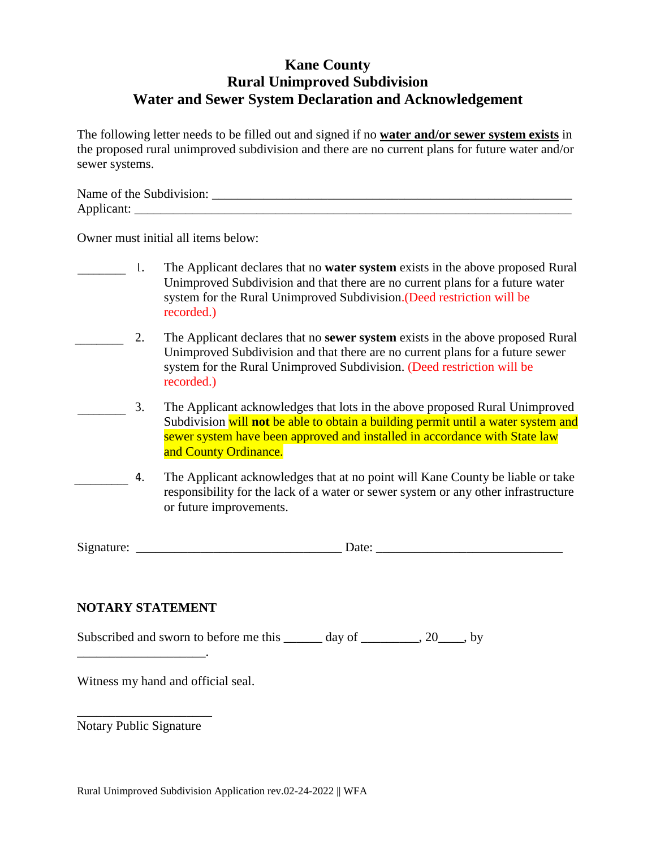### **Kane County Rural Unimproved Subdivision Water and Sewer System Declaration and Acknowledgement**

The following letter needs to be filled out and signed if no **water and/or sewer system exists** in the proposed rural unimproved subdivision and there are no current plans for future water and/or sewer systems.

| Name of the Subdivision: |  |
|--------------------------|--|
| Applicant:               |  |

Owner must initial all items below:

- 1. The Applicant declares that no **water system** exists in the above proposed Rural Unimproved Subdivision and that there are no current plans for a future water system for the Rural Unimproved Subdivision.(Deed restriction will be recorded.)  $\frac{1}{\frac{1}{2}+\frac{1}{2}}$
- 2. The Applicant declares that no **sewer system** exists in the above proposed Rural Unimproved Subdivision and that there are no current plans for a future sewer system for the Rural Unimproved Subdivision. (Deed restriction will be recorded.)  $\overline{\phantom{a}}$
- 3. The Applicant acknowledges that lots in the above proposed Rural Unimproved Subdivision will **not** be able to obtain a building permit until a water system and sewer system have been approved and installed in accordance with State law and County Ordinance.  $\overline{\phantom{a}}$
- The Applicant acknowledges that at no point will Kane County be liable or take responsibility for the lack of a water or sewer system or any other infrastructure or future improvements.  $\overline{a}$ .

Signature: \_\_\_\_\_\_\_\_\_\_\_\_\_\_\_\_\_\_\_\_\_\_\_\_\_\_\_\_\_\_\_\_ Date: \_\_\_\_\_\_\_\_\_\_\_\_\_\_\_\_\_\_\_\_\_\_\_\_\_\_\_\_\_

#### **NOTARY STATEMENT**

\_\_\_\_\_\_\_\_\_\_\_\_\_\_\_\_\_\_\_\_.

Subscribed and sworn to before me this \_\_\_\_\_\_ day of \_\_\_\_\_\_\_\_, 20\_\_\_, by

Witness my hand and official seal.

\_\_\_\_\_\_\_\_\_\_\_\_\_\_\_\_\_\_\_\_\_ Notary Public Signature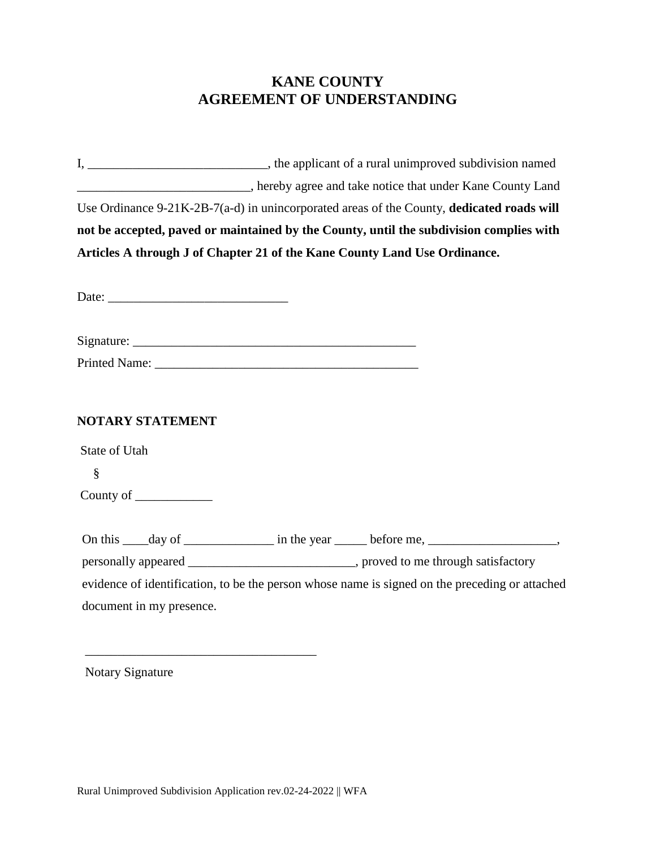### **KANE COUNTY AGREEMENT OF UNDERSTANDING**

|                          | Use Ordinance 9-21K-2B-7(a-d) in unincorporated areas of the County, dedicated roads will      |  |  |
|--------------------------|------------------------------------------------------------------------------------------------|--|--|
|                          | not be accepted, paved or maintained by the County, until the subdivision complies with        |  |  |
|                          | Articles A through J of Chapter 21 of the Kane County Land Use Ordinance.                      |  |  |
|                          |                                                                                                |  |  |
|                          |                                                                                                |  |  |
|                          |                                                                                                |  |  |
|                          |                                                                                                |  |  |
|                          |                                                                                                |  |  |
|                          |                                                                                                |  |  |
| NOTARY STATEMENT         |                                                                                                |  |  |
| State of Utah            |                                                                                                |  |  |
| §                        |                                                                                                |  |  |
| County of _____________  |                                                                                                |  |  |
|                          |                                                                                                |  |  |
|                          | On this _____ day of ________________ in the year _______ before me, ________________________, |  |  |
|                          | personally appeared _______________________________, proved to me through satisfactory         |  |  |
|                          | evidence of identification, to be the person whose name is signed on the preceding or attached |  |  |
| document in my presence. |                                                                                                |  |  |

Notary Signature

\_\_\_\_\_\_\_\_\_\_\_\_\_\_\_\_\_\_\_\_\_\_\_\_\_\_\_\_\_\_\_\_\_\_\_\_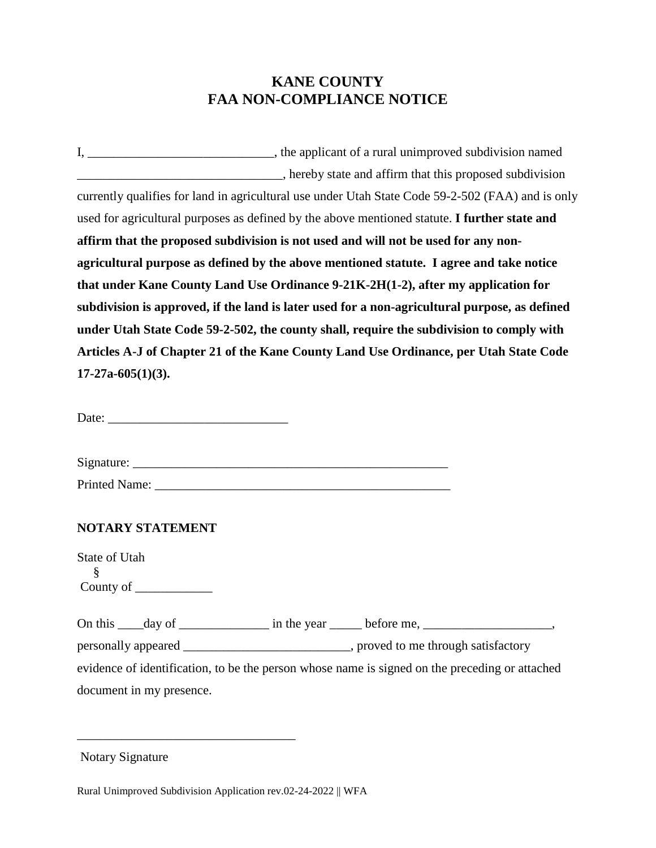### **KANE COUNTY FAA NON-COMPLIANCE NOTICE**

I, \_\_\_\_\_\_\_\_\_\_\_\_\_\_\_\_\_\_\_\_\_\_\_\_\_\_\_\_\_, the applicant of a rural unimproved subdivision named **Example 2.1** September 1.1 September 1.1 September 1.1 September 1.1 September 1.1 September 1.1 September 1.1 September 1.1 September 1.1 September 1.1 September 1.1 September 1.1 September 1.1 September 1.1 September 1. currently qualifies for land in agricultural use under Utah State Code 59-2-502 (FAA) and is only used for agricultural purposes as defined by the above mentioned statute. **I further state and affirm that the proposed subdivision is not used and will not be used for any nonagricultural purpose as defined by the above mentioned statute. I agree and take notice that under Kane County Land Use Ordinance 9-21K-2H(1-2), after my application for subdivision is approved, if the land is later used for a non-agricultural purpose, as defined under Utah State Code 59-2-502, the county shall, require the subdivision to comply with Articles A-J of Chapter 21 of the Kane County Land Use Ordinance, per Utah State Code 17-27a-605(1)(3).**

Date:

Signature:

Printed Name: \_\_\_\_\_\_\_\_\_\_\_\_\_\_\_\_\_\_\_\_\_\_\_\_\_\_\_\_\_\_\_\_\_\_\_\_\_\_\_\_\_\_\_\_\_\_

#### **NOTARY STATEMENT**

State of Utah § County of

On this  $\_\_$  day of  $\_\_\_\_\_\_\_\_\$  in the year  $\_\_\_\_\_\_\_\_\_\_\_\_\_\_\_\_\_\_\_\_$ . personally appeared \_\_\_\_\_\_\_\_\_\_\_\_\_\_\_\_\_\_\_\_\_\_\_\_\_\_, proved to me through satisfactory evidence of identification, to be the person whose name is signed on the preceding or attached document in my presence.

Notary Signature

Rural Unimproved Subdivision Application rev.02-24-2022 || WFA

\_\_\_\_\_\_\_\_\_\_\_\_\_\_\_\_\_\_\_\_\_\_\_\_\_\_\_\_\_\_\_\_\_\_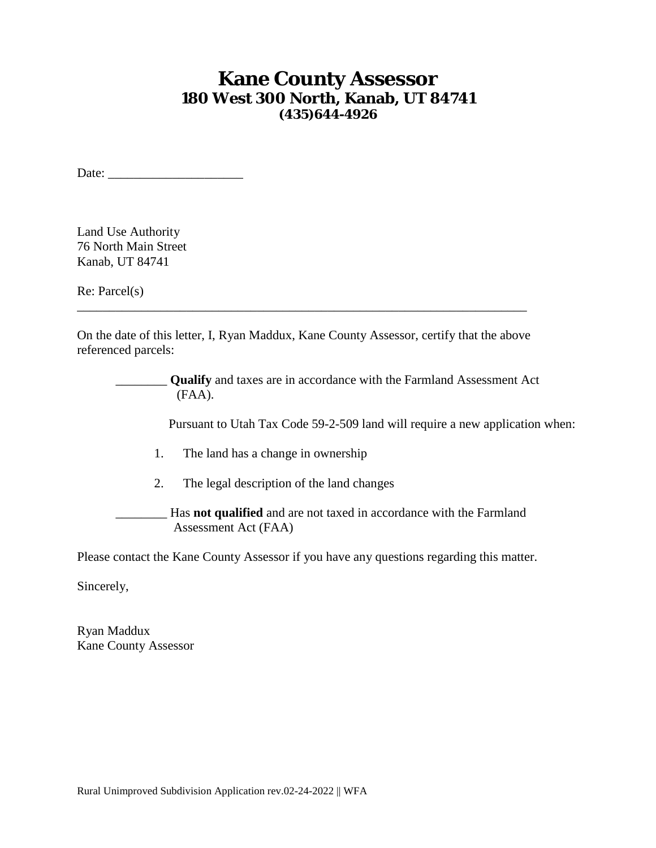### **Kane County Assessor 180 West 300 North, Kanab, UT 84741 (435)644-4926**

Date:

Land Use Authority 76 North Main Street Kanab, UT 84741

Re: Parcel(s)

On the date of this letter, I, Ryan Maddux, Kane County Assessor, certify that the above referenced parcels:

\_\_\_\_\_\_\_\_\_\_\_\_\_\_\_\_\_\_\_\_\_\_\_\_\_\_\_\_\_\_\_\_\_\_\_\_\_\_\_\_\_\_\_\_\_\_\_\_\_\_\_\_\_\_\_\_\_\_\_\_\_\_\_\_\_\_\_\_\_\_

\_\_\_\_\_\_\_\_ **Qualify** and taxes are in accordance with the Farmland Assessment Act (FAA). Pursuant to Utah Tax Code 59-2-509 land will require a new application when: 1. The land has a change in ownership 2. The legal description of the land changes \_\_\_\_\_\_\_\_ Has **not qualified** and are not taxed in accordance with the Farmland Assessment Act (FAA)

Please contact the Kane County Assessor if you have any questions regarding this matter.

Sincerely,

Ryan Maddux Kane County Assessor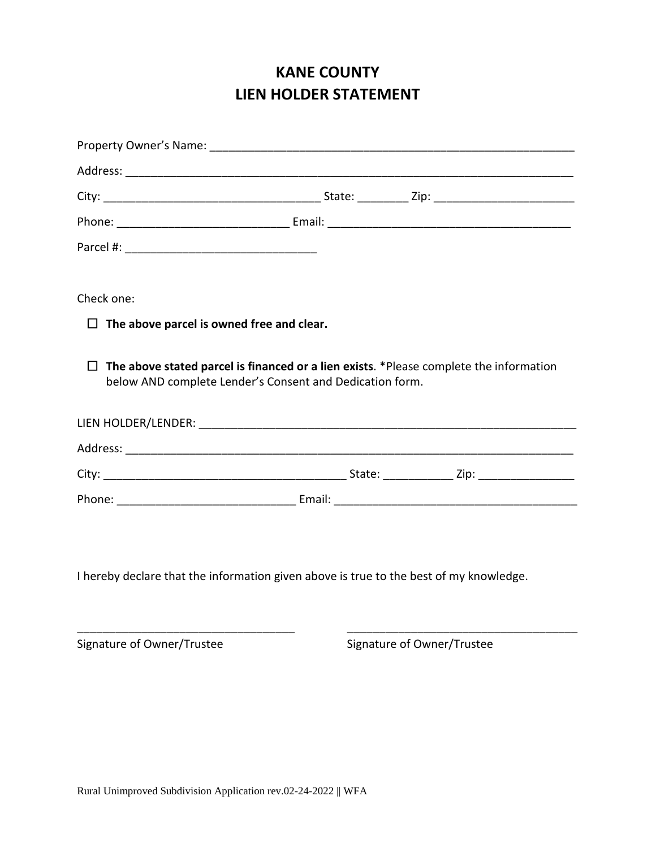### **KANE COUNTY LIEN HOLDER STATEMENT**

| Check one:                                                                                                                                                |                            |  |  |
|-----------------------------------------------------------------------------------------------------------------------------------------------------------|----------------------------|--|--|
| $\Box$ The above parcel is owned free and clear.                                                                                                          |                            |  |  |
| $\Box$ The above stated parcel is financed or a lien exists. *Please complete the information<br>below AND complete Lender's Consent and Dedication form. |                            |  |  |
|                                                                                                                                                           |                            |  |  |
|                                                                                                                                                           |                            |  |  |
|                                                                                                                                                           |                            |  |  |
|                                                                                                                                                           |                            |  |  |
| I hereby declare that the information given above is true to the best of my knowledge.                                                                    |                            |  |  |
|                                                                                                                                                           |                            |  |  |
| Signature of Owner/Trustee                                                                                                                                | Signature of Owner/Trustee |  |  |
|                                                                                                                                                           |                            |  |  |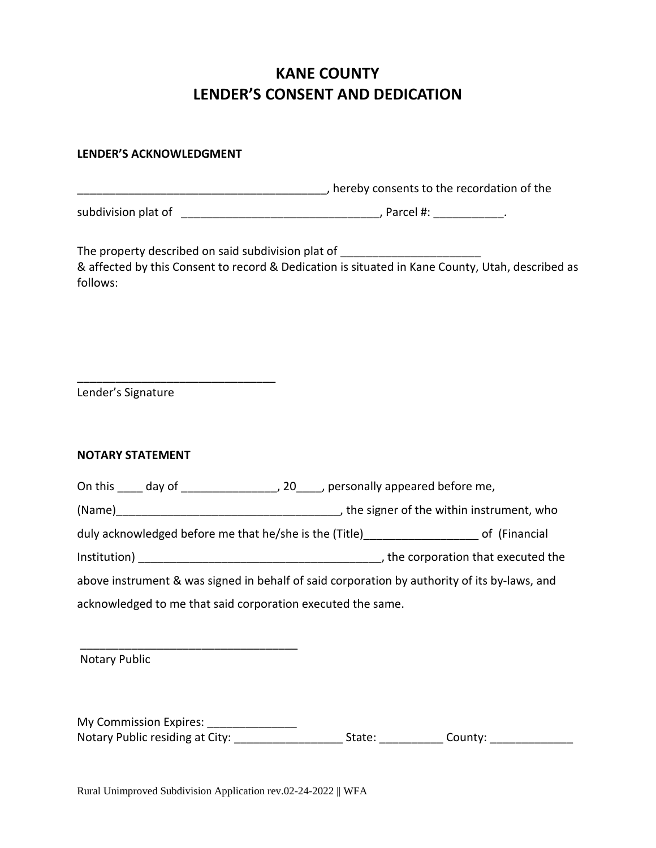### **KANE COUNTY LENDER'S CONSENT AND DEDICATION**

#### **LENDER'S ACKNOWLEDGMENT**

|                                                                                              | thereby consents to the recordation of the merriculture contact to the recordation of the        |
|----------------------------------------------------------------------------------------------|--------------------------------------------------------------------------------------------------|
|                                                                                              |                                                                                                  |
| The property described on said subdivision plat of _____________________________<br>follows: | & affected by this Consent to record & Dedication is situated in Kane County, Utah, described as |
| Lender's Signature                                                                           |                                                                                                  |
| <b>NOTARY STATEMENT</b>                                                                      |                                                                                                  |
|                                                                                              |                                                                                                  |
|                                                                                              |                                                                                                  |
|                                                                                              | duly acknowledged before me that he/she is the (Title)______________________ of (Financial       |
|                                                                                              |                                                                                                  |
|                                                                                              | above instrument & was signed in behalf of said corporation by authority of its by-laws, and     |
| acknowledged to me that said corporation executed the same.                                  |                                                                                                  |
|                                                                                              |                                                                                                  |
| <b>Notary Public</b>                                                                         |                                                                                                  |

| My Commission Expires:          |        |         |
|---------------------------------|--------|---------|
| Notary Public residing at City: | State: | County: |

Rural Unimproved Subdivision Application rev.02-24-2022 || WFA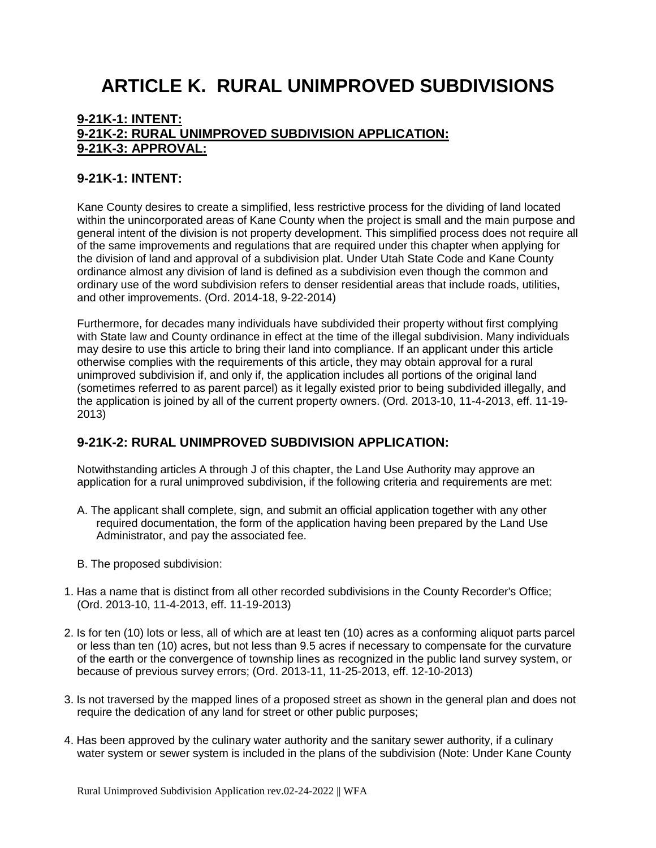## **ARTICLE K. RURAL UNIMPROVED SUBDIVISIONS**

#### **[9-21K-1: INTENT:](https://www.sterlingcodifiers.com/codebook/getBookData.php?id=&chapter_id=84048&keywords=#s1264253) [9-21K-2: RURAL UNIMPROVED SUBDIVISION APPLICATION:](https://www.sterlingcodifiers.com/codebook/getBookData.php?id=&chapter_id=84048&keywords=#s1264254) [9-21K-3: APPROVAL:](https://www.sterlingcodifiers.com/codebook/getBookData.php?id=&chapter_id=84048&keywords=#s1264255)**

#### **9-21K-1: INTENT:**

Kane County desires to create a simplified, less restrictive process for the dividing of land located within the unincorporated areas of Kane County when the project is small and the main purpose and general intent of the division is not property development. This simplified process does not require all of the same improvements and regulations that are required under this chapter when applying for the division of land and approval of a subdivision plat. Under Utah State Code and Kane County ordinance almost any division of land is defined as a subdivision even though the common and ordinary use of the word subdivision refers to denser residential areas that include roads, utilities, and other improvements. (Ord. 2014-18, 9-22-2014)

Furthermore, for decades many individuals have subdivided their property without first complying with State law and County ordinance in effect at the time of the illegal subdivision. Many individuals may desire to use this article to bring their land into compliance. If an applicant under this article otherwise complies with the requirements of this article, they may obtain approval for a rural unimproved subdivision if, and only if, the application includes all portions of the original land (sometimes referred to as parent parcel) as it legally existed prior to being subdivided illegally, and the application is joined by all of the current property owners. (Ord. 2013-10, 11-4-2013, eff. 11-19- 2013)

#### **9-21K-2: RURAL UNIMPROVED SUBDIVISION APPLICATION:**

Notwithstanding articles A through J of this chapter, the Land Use Authority may approve an application for a rural unimproved subdivision, if the following criteria and requirements are met:

- A. The applicant shall complete, sign, and submit an official application together with any other required documentation, the form of the application having been prepared by the Land Use Administrator, and pay the associated fee.
- B. The proposed subdivision:
- 1. Has a name that is distinct from all other recorded subdivisions in the County Recorder's Office; (Ord. 2013-10, 11-4-2013, eff. 11-19-2013)
- 2. Is for ten (10) lots or less, all of which are at least ten (10) acres as a conforming aliquot parts parcel or less than ten (10) acres, but not less than 9.5 acres if necessary to compensate for the curvature of the earth or the convergence of township lines as recognized in the public land survey system, or because of previous survey errors; (Ord. 2013-11, 11-25-2013, eff. 12-10-2013)
- 3. Is not traversed by the mapped lines of a proposed street as shown in the general plan and does not require the dedication of any land for street or other public purposes;
- 4. Has been approved by the culinary water authority and the sanitary sewer authority, if a culinary water system or sewer system is included in the plans of the subdivision (Note: Under Kane County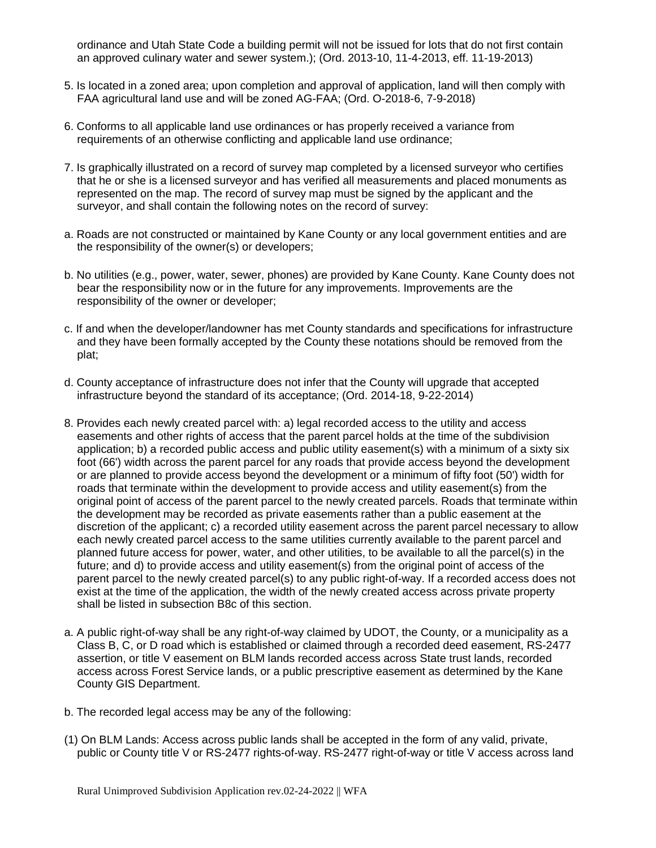ordinance and Utah State Code a building permit will not be issued for lots that do not first contain an approved culinary water and sewer system.); (Ord. 2013-10, 11-4-2013, eff. 11-19-2013)

- 5. Is located in a zoned area; upon completion and approval of application, land will then comply with FAA agricultural land use and will be zoned AG-FAA; (Ord. O-2018-6, 7-9-2018)
- 6. Conforms to all applicable land use ordinances or has properly received a variance from requirements of an otherwise conflicting and applicable land use ordinance;
- 7. Is graphically illustrated on a record of survey map completed by a licensed surveyor who certifies that he or she is a licensed surveyor and has verified all measurements and placed monuments as represented on the map. The record of survey map must be signed by the applicant and the surveyor, and shall contain the following notes on the record of survey:
- a. Roads are not constructed or maintained by Kane County or any local government entities and are the responsibility of the owner(s) or developers;
- b. No utilities (e.g., power, water, sewer, phones) are provided by Kane County. Kane County does not bear the responsibility now or in the future for any improvements. Improvements are the responsibility of the owner or developer;
- c. If and when the developer/landowner has met County standards and specifications for infrastructure and they have been formally accepted by the County these notations should be removed from the plat;
- d. County acceptance of infrastructure does not infer that the County will upgrade that accepted infrastructure beyond the standard of its acceptance; (Ord. 2014-18, 9-22-2014)
- 8. Provides each newly created parcel with: a) legal recorded access to the utility and access easements and other rights of access that the parent parcel holds at the time of the subdivision application; b) a recorded public access and public utility easement(s) with a minimum of a sixty six foot (66') width across the parent parcel for any roads that provide access beyond the development or are planned to provide access beyond the development or a minimum of fifty foot (50') width for roads that terminate within the development to provide access and utility easement(s) from the original point of access of the parent parcel to the newly created parcels. Roads that terminate within the development may be recorded as private easements rather than a public easement at the discretion of the applicant; c) a recorded utility easement across the parent parcel necessary to allow each newly created parcel access to the same utilities currently available to the parent parcel and planned future access for power, water, and other utilities, to be available to all the parcel(s) in the future; and d) to provide access and utility easement(s) from the original point of access of the parent parcel to the newly created parcel(s) to any public right-of-way. If a recorded access does not exist at the time of the application, the width of the newly created access across private property shall be listed in subsection B8c of this section.
- a. A public right-of-way shall be any right-of-way claimed by UDOT, the County, or a municipality as a Class B, C, or D road which is established or claimed through a recorded deed easement, RS-2477 assertion, or title V easement on BLM lands recorded access across State trust lands, recorded access across Forest Service lands, or a public prescriptive easement as determined by the Kane County GIS Department.
- b. The recorded legal access may be any of the following:
- (1) On BLM Lands: Access across public lands shall be accepted in the form of any valid, private, public or County title V or RS-2477 rights-of-way. RS-2477 right-of-way or title V access across land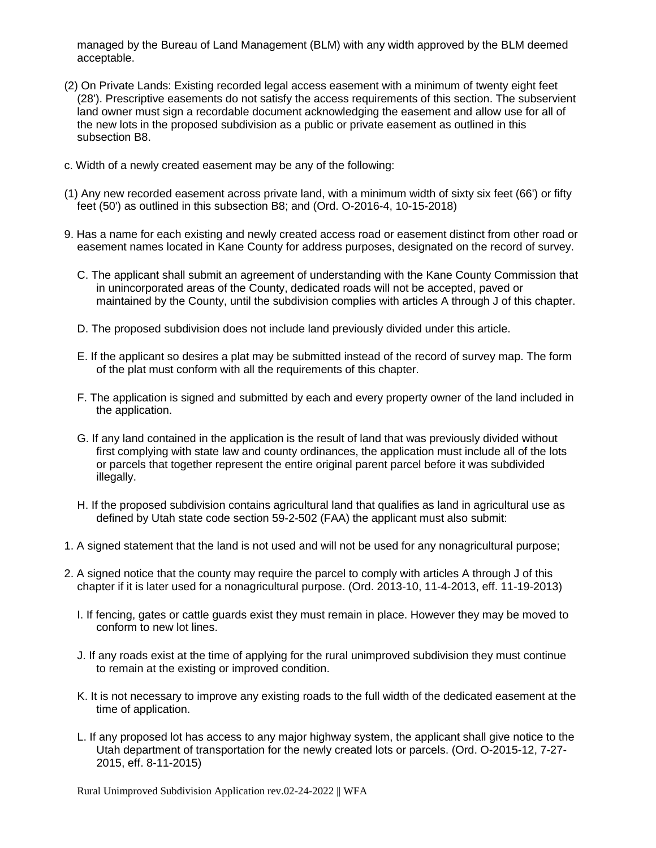managed by the Bureau of Land Management (BLM) with any width approved by the BLM deemed acceptable.

- (2) On Private Lands: Existing recorded legal access easement with a minimum of twenty eight feet (28'). Prescriptive easements do not satisfy the access requirements of this section. The subservient land owner must sign a recordable document acknowledging the easement and allow use for all of the new lots in the proposed subdivision as a public or private easement as outlined in this subsection B8.
- c. Width of a newly created easement may be any of the following:
- (1) Any new recorded easement across private land, with a minimum width of sixty six feet (66') or fifty feet (50') as outlined in this subsection B8; and (Ord. O-2016-4, 10-15-2018)
- 9. Has a name for each existing and newly created access road or easement distinct from other road or easement names located in Kane County for address purposes, designated on the record of survey.
	- C. The applicant shall submit an agreement of understanding with the Kane County Commission that in unincorporated areas of the County, dedicated roads will not be accepted, paved or maintained by the County, until the subdivision complies with articles A through J of this chapter.
	- D. The proposed subdivision does not include land previously divided under this article.
	- E. If the applicant so desires a plat may be submitted instead of the record of survey map. The form of the plat must conform with all the requirements of this chapter.
	- F. The application is signed and submitted by each and every property owner of the land included in the application.
	- G. If any land contained in the application is the result of land that was previously divided without first complying with state law and county ordinances, the application must include all of the lots or parcels that together represent the entire original parent parcel before it was subdivided illegally.
	- H. If the proposed subdivision contains agricultural land that qualifies as land in agricultural use as defined by Utah state code section 59-2-502 (FAA) the applicant must also submit:
- 1. A signed statement that the land is not used and will not be used for any nonagricultural purpose;
- 2. A signed notice that the county may require the parcel to comply with articles A through J of this chapter if it is later used for a nonagricultural purpose. (Ord. 2013-10, 11-4-2013, eff. 11-19-2013)
	- I. If fencing, gates or cattle guards exist they must remain in place. However they may be moved to conform to new lot lines.
	- J. If any roads exist at the time of applying for the rural unimproved subdivision they must continue to remain at the existing or improved condition.
	- K. It is not necessary to improve any existing roads to the full width of the dedicated easement at the time of application.
	- L. If any proposed lot has access to any major highway system, the applicant shall give notice to the Utah department of transportation for the newly created lots or parcels. (Ord. O-2015-12, 7-27- 2015, eff. 8-11-2015)

Rural Unimproved Subdivision Application rev.02-24-2022 || WFA